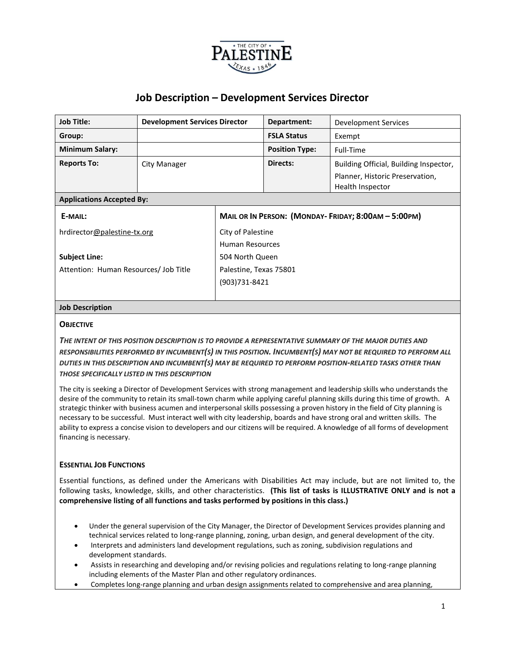

# **Job Description – Development Services Director**

| <b>Job Title:</b>                     | <b>Development Services Director</b> |                                                     | Department:           | Development Services                                |  |  |
|---------------------------------------|--------------------------------------|-----------------------------------------------------|-----------------------|-----------------------------------------------------|--|--|
| Group:                                |                                      |                                                     | <b>FSLA Status</b>    | Exempt                                              |  |  |
| <b>Minimum Salary:</b>                |                                      |                                                     | <b>Position Type:</b> | Full-Time                                           |  |  |
| <b>Reports To:</b>                    | City Manager                         |                                                     | Directs:              | Building Official, Building Inspector,              |  |  |
|                                       |                                      |                                                     |                       | Planner, Historic Preservation,<br>Health Inspector |  |  |
| <b>Applications Accepted By:</b>      |                                      |                                                     |                       |                                                     |  |  |
| E-MAIL:                               |                                      | MAIL OR IN PERSON: (MONDAY-FRIDAY; 8:00AM - 5:00PM) |                       |                                                     |  |  |
| hrdirector@palestine-tx.org           |                                      | City of Palestine                                   |                       |                                                     |  |  |
|                                       |                                      | Human Resources                                     |                       |                                                     |  |  |
| <b>Subject Line:</b>                  |                                      | 504 North Queen                                     |                       |                                                     |  |  |
| Attention: Human Resources/ Job Title |                                      | Palestine, Texas 75801                              |                       |                                                     |  |  |
|                                       |                                      | (903)731-8421                                       |                       |                                                     |  |  |
|                                       |                                      |                                                     |                       |                                                     |  |  |

### **Job Description OBJECTIVE**

### *THE INTENT OF THIS POSITION DESCRIPTION IS TO PROVIDE A REPRESENTATIVE SUMMARY OF THE MAJOR DUTIES AND RESPONSIBILITIES PERFORMED BY INCUMBENT(S) IN THIS POSITION. INCUMBENT(S) MAY NOT BE REQUIRED TO PERFORM ALL DUTIES IN THIS DESCRIPTION AND INCUMBENT(S) MAY BE REQUIRED TO PERFORM POSITION-RELATED TASKS OTHER THAN THOSE SPECIFICALLY LISTED IN THIS DESCRIPTION*

The city is seeking a Director of Development Services with strong management and leadership skills who understands the desire of the community to retain its small-town charm while applying careful planning skills during this time of growth. A strategic thinker with business acumen and interpersonal skills possessing a proven history in the field of City planning is necessary to be successful. Must interact well with city leadership, boards and have strong oral and written skills. The ability to express a concise vision to developers and our citizens will be required. A knowledge of all forms of development financing is necessary.

### **ESSENTIAL JOB FUNCTIONS**

Essential functions, as defined under the Americans with Disabilities Act may include, but are not limited to, the following tasks, knowledge, skills, and other characteristics. **(This list of tasks is ILLUSTRATIVE ONLY and is not a comprehensive listing of all functions and tasks performed by positions in this class.)**

- Under the general supervision of the City Manager, the Director of Development Services provides planning and technical services related to long-range planning, zoning, urban design, and general development of the city.
- Interprets and administers land development regulations, such as zoning, subdivision regulations and development standards.
- Assists in researching and developing and/or revising policies and regulations relating to long-range planning including elements of the Master Plan and other regulatory ordinances.
- Completes long-range planning and urban design assignments related to comprehensive and area planning,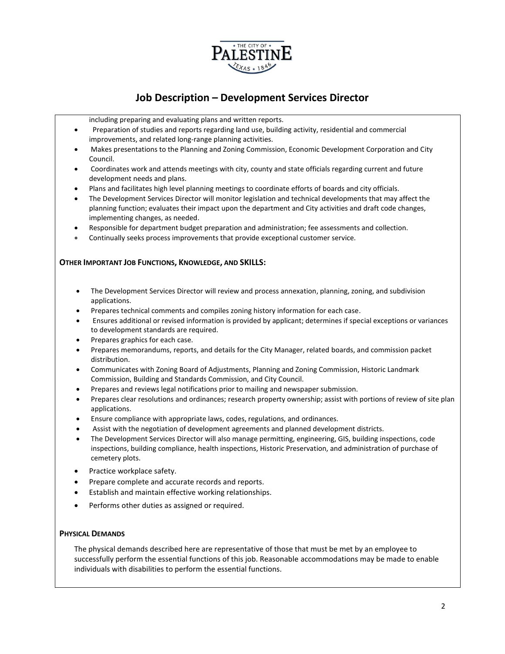

## **Job Description – Development Services Director**

including preparing and evaluating plans and written reports.

- Preparation of studies and reports regarding land use, building activity, residential and commercial improvements, and related long-range planning activities.
- Makes presentations to the Planning and Zoning Commission, Economic Development Corporation and City Council.
- Coordinates work and attends meetings with city, county and state officials regarding current and future development needs and plans.
- Plans and facilitates high level planning meetings to coordinate efforts of boards and city officials.
- The Development Services Director will monitor legislation and technical developments that may affect the planning function; evaluates their impact upon the department and City activities and draft code changes, implementing changes, as needed.
- Responsible for department budget preparation and administration; fee assessments and collection.
- Continually seeks process improvements that provide exceptional customer service.

#### **OTHER IMPORTANT JOB FUNCTIONS, KNOWLEDGE, AND SKILLS:**

- The Development Services Director will review and process annexation, planning, zoning, and subdivision applications.
- Prepares technical comments and compiles zoning history information for each case.
- Ensures additional or revised information is provided by applicant; determines if special exceptions or variances to development standards are required.
- Prepares graphics for each case.
- Prepares memorandums, reports, and details for the City Manager, related boards, and commission packet distribution.
- Communicates with Zoning Board of Adjustments, Planning and Zoning Commission, Historic Landmark Commission, Building and Standards Commission, and City Council.
- Prepares and reviews legal notifications prior to mailing and newspaper submission.
- Prepares clear resolutions and ordinances; research property ownership; assist with portions of review of site plan applications.
- Ensure compliance with appropriate laws, codes, regulations, and ordinances.
- Assist with the negotiation of development agreements and planned development districts.
- The Development Services Director will also manage permitting, engineering, GIS, building inspections, code inspections, building compliance, health inspections, Historic Preservation, and administration of purchase of cemetery plots.
- Practice workplace safety.
- Prepare complete and accurate records and reports.
- Establish and maintain effective working relationships.
- Performs other duties as assigned or required.

#### **PHYSICAL DEMANDS**

The physical demands described here are representative of those that must be met by an employee to successfully perform the essential functions of this job. Reasonable accommodations may be made to enable individuals with disabilities to perform the essential functions.